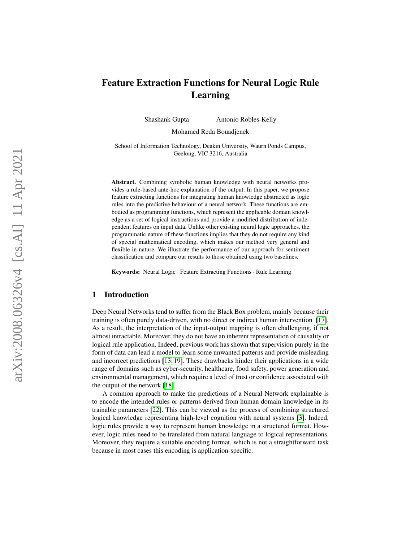# Feature Extraction Functions for Neural Logic Rule Learning

Shashank Gupta Antonio Robles-Kelly

Mohamed Reda Bouadjenek

School of Information Technology, Deakin University, Waurn Ponds Campus, Geelong, VIC 3216, Australia

Abstract. Combining symbolic human knowledge with neural networks provides a rule-based ante-hoc explanation of the output. In this paper, we propose feature extracting functions for integrating human knowledge abstracted as logic rules into the predictive behaviour of a neural network. These functions are embodied as programming functions, which represent the applicable domain knowledge as a set of logical instructions and provide a modified distribution of independent features on input data. Unlike other existing neural logic approaches, the programmatic nature of these functions implies that they do not require any kind of special mathematical encoding, which makes our method very general and flexible in nature. We illustrate the performance of our approach for sentiment classification and compare our results to those obtained using two baselines.

Keywords: Neural Logic · Feature Extracting Functions · Rule Learning

## 1 Introduction

Deep Neural Networks tend to suffer from the Black Box problem, mainly because their training is often purely data-driven, with no direct or indirect human intervention [\[17\]](#page-9-0). As a result, the interpretation of the input-output mapping is often challenging, if not almost intractable. Moreover, they do not have an inherent representation of causality or logical rule application. Indeed, previous work has shown that supervision purely in the form of data can lead a model to learn some unwanted patterns and provide misleading and incorrect predictions [\[13,](#page-9-1) [19\]](#page-9-2). These drawbacks hinder their applications in a wide range of domains such as cyber-security, healthcare, food safety, power generation and environmental management, which require a level of trust or confidence associated with the output of the network [\[18\]](#page-9-3).

A common approach to make the predictions of a Neural Network explainable is to encode the intended rules or patterns derived from human domain knowledge in its trainable parameters [\[22\]](#page-9-4). This can be viewed as the process of combining structured logical knowledge representing high-level cognition with neural systems [\[3\]](#page-8-0). Indeed, logic rules provide a way to represent human knowledge in a structured format. However, logic rules need to be translated from natural language to logical representations. Moreover, they require a suitable encoding format, which is not a straightforward task because in most cases this encoding is application-specific.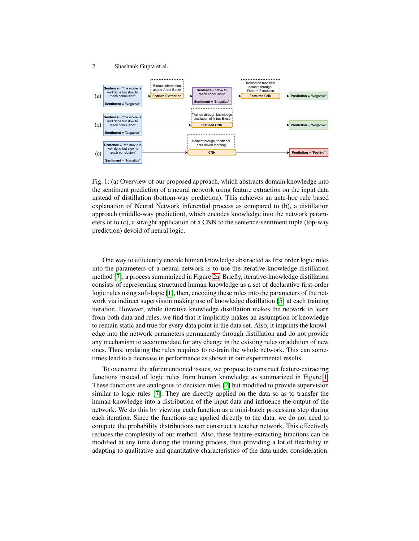<span id="page-1-0"></span>

Fig. 1: (a) Overview of our proposed approach, which abstracts domain knowledge into the sentiment prediction of a neural network using feature extraction on the input data instead of distillation (bottom-way prediction). This achieves an ante-hoc rule based explanation of Neural Network inferential process as compared to (b), a distillation approach (middle-way prediction), which encodes knowledge into the network parameters or to (c), a straight application of a CNN to the sentence-sentiment tuple (top-way prediction) devoid of neural logic.

One way to efficiently encode human knowledge abstracted as first order logic rules into the parameters of a neural network is to use the iterative-knowledge distillation method [\[7\]](#page-8-1), a process summarized in Figure [2a.](#page-3-0) Briefly, iterative-knowledge distillation consists of representing structured human knowledge as a set of declarative first-order logic rules using soft-logic [\[1\]](#page-8-2), then, encoding these rules into the parameters of the network via indirect supervision making use of knowledge distillation [\[5\]](#page-8-3) at each training iteration. However, while iterative knowledge distillation makes the network to learn from both data and rules, we find that it implicitly makes an assumption of knowledge to remain static and true for every data point in the data set. Also, it imprints the knowledge into the network parameters permanently through distillation and do not provide any mechanism to accommodate for any change in the existing rules or addition of new ones. Thus, updating the rules requires to re-train the whole network. This can sometimes lead to a decrease in performance as shown in our experimental results.

To overcome the aforementioned issues, we propose to construct feature-extracting functions instead of logic rules from human knowledge as summarized in Figure [1.](#page-1-0) These functions are analogous to decision rules [\[2\]](#page-8-4) but modified to provide supervision similar to logic rules [\[7\]](#page-8-1). They are directly applied on the data so as to transfer the human knowledge into a distribution of the input data and influence the output of the network. We do this by viewing each function as a mini-batch processing step during each iteration. Since the functions are applied directly to the data, we do not need to compute the probability distributions nor construct a teacher network. This effectively reduces the complexity of our method. Also, these feature-extracting functions can be modified at any time during the training process, thus providing a lot of flexibility in adapting to qualitative and quantitative characteristics of the data under consideration.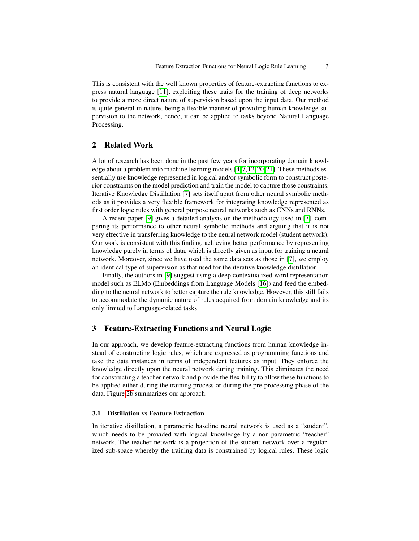This is consistent with the well known properties of feature-extracting functions to express natural language [\[11\]](#page-9-5), exploiting these traits for the training of deep networks to provide a more direct nature of supervision based upon the input data. Our method is quite general in nature, being a flexible manner of providing human knowledge supervision to the network, hence, it can be applied to tasks beyond Natural Language Processing.

# 2 Related Work

A lot of research has been done in the past few years for incorporating domain knowledge about a problem into machine learning models [\[4,](#page-8-5)[7,](#page-8-1)[12,](#page-9-6)[20,](#page-9-7)[21\]](#page-9-8). These methods essentially use knowledge represented in logical and/or symbolic form to construct posterior constraints on the model prediction and train the model to capture those constraints. Iterative Knowledge Distillation [\[7\]](#page-8-1) sets itself apart from other neural symbolic methods as it provides a very flexible framework for integrating knowledge represented as first order logic rules with general purpose neural networks such as CNNs and RNNs.

A recent paper [\[9\]](#page-8-6) gives a detailed analysis on the methodology used in [\[7\]](#page-8-1), comparing its performance to other neural symbolic methods and arguing that it is not very effective in transferring knowledge to the neural network model (student network). Our work is consistent with this finding, achieving better performance by representing knowledge purely in terms of data, which is directly given as input for training a neural network. Moreover, since we have used the same data sets as those in [\[7\]](#page-8-1), we employ an identical type of supervision as that used for the iterative knowledge distillation.

Finally, the authors in [\[9\]](#page-8-6) suggest using a deep contextualized word representation model such as ELMo (Embeddings from Language Models [\[16\]](#page-9-9)) and feed the embedding to the neural network to better capture the rule knowledge. However, this still fails to accommodate the dynamic nature of rules acquired from domain knowledge and its only limited to Language-related tasks.

## 3 Feature-Extracting Functions and Neural Logic

In our approach, we develop feature-extracting functions from human knowledge instead of constructing logic rules, which are expressed as programming functions and take the data instances in terms of independent features as input. They enforce the knowledge directly upon the neural network during training. This eliminates the need for constructing a teacher network and provide the flexibility to allow these functions to be applied either during the training process or during the pre-processing phase of the data. Figure [2b](#page-3-1) summarizes our approach.

## 3.1 Distillation vs Feature Extraction

In iterative distillation, a parametric baseline neural network is used as a "student", which needs to be provided with logical knowledge by a non-parametric "teacher" network. The teacher network is a projection of the student network over a regularized sub-space whereby the training data is constrained by logical rules. These logic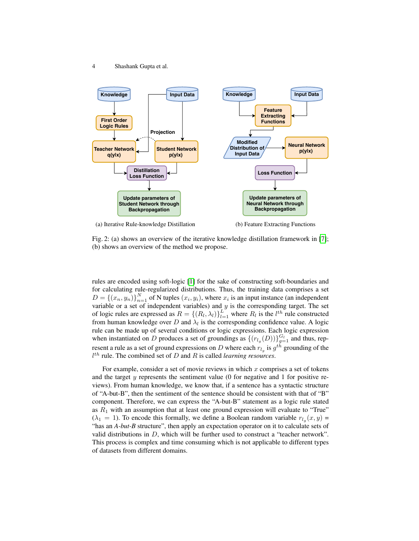<span id="page-3-0"></span>

<span id="page-3-1"></span>Fig. 2: (a) shows an overview of the iterative knowledge distillation framework in [\[7\]](#page-8-1); (b) shows an overview of the method we propose.

rules are encoded using soft-logic [\[1\]](#page-8-2) for the sake of constructing soft-boundaries and for calculating rule-regularized distributions. Thus, the training data comprises a set  $D = \{(x_n, y_n)\}_{n=1}^N$  of N tuples  $(x_i, y_i)$ , where  $x_i$  is an input instance (an independent variable or a set of independent variables) and  $y$  is the corresponding target. The set of logic rules are expressed as  $R = \{(R_l, \lambda_l)\}_{l=1}^L$  where  $R_l$  is the  $l^{th}$  rule constructed from human knowledge over D and  $\lambda_l$  is the corresponding confidence value. A logic rule can be made up of several conditions or logic expressions. Each logic expression when instantiated on D produces a set of groundings as  $\{(r_{l_g}(D))\}_{g=1}^{G_l}$  and thus, represent a rule as a set of ground expressions on D where each  $r_{l_g}$  is  $g^{th}$  grounding of the  $l<sup>th</sup>$  rule. The combined set of  $D$  and  $R$  is called *learning resources*.

For example, consider a set of movie reviews in which  $x$  comprises a set of tokens and the target  $\gamma$  represents the sentiment value (0 for negative and 1 for positive reviews). From human knowledge, we know that, if a sentence has a syntactic structure of "A-but-B", then the sentiment of the sentence should be consistent with that of "B" component. Therefore, we can express the "A-but-B" statement as a logic rule stated as  $R_1$  with an assumption that at least one ground expression will evaluate to "True"  $(\lambda_1 = 1)$ . To encode this formally, we define a Boolean random variable  $r_{l_q}(x, y)$  = "has an *A-but-B* structure", then apply an expectation operator on it to calculate sets of valid distributions in D, which will be further used to construct a "teacher network". This process is complex and time consuming which is not applicable to different types of datasets from different domains.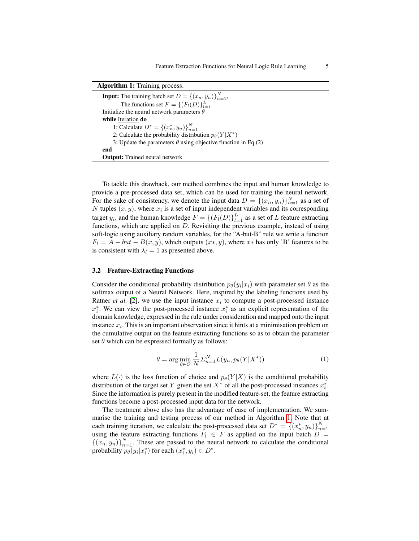#### Algorithm 1: Training process.

**Input:** The training batch set  $D = \{(x_n, y_n)\}_{n=1}^N$ , The functions set  $F = \left\{ (F_l(D)) \right\}_{l=1}^L$ Initialize the neural network parameters  $\hat{\theta}$ while Iteration do 1: Calculate  $D^* = \{(x_n^*, y_n)\}_{n=1}^N$ 2: Calculate the probability distribution  $p_{\theta}(Y|X^*)$ 3: Update the parameters  $\theta$  using objective function in Eq.(2) end Output: Trained neural network

<span id="page-4-0"></span>To tackle this drawback, our method combines the input and human knowledge to provide a pre-processed data set, which can be used for training the neural network. For the sake of consistency, we denote the input data  $D = \{(x_n, y_n)\}_{n=1}^N$  as a set of N tuples  $(x, y)$ , where  $x_i$  is a set of input independent variables and its corresponding target  $y_i$ , and the human knowledge  $F = \{(F_l(D)\}_{l=1}^L$  as a set of L feature extracting functions, which are applied on  $D$ . Revisiting the previous example, instead of using soft-logic using auxiliary random variables, for the "A-but-B" rule we write a function  $F_l = A - but - B(x, y)$ , which outputs  $(x*, y)$ , where x<sup>\*</sup> has only 'B' features to be is consistent with  $\lambda_l = 1$  as presented above.

### 3.2 Feature-Extracting Functions

Consider the conditional probability distribution  $p_{\theta}(y_i|x_i)$  with parameter set  $\theta$  as the softmax output of a Neural Network. Here, inspired by the labeling functions used by Ratner *et al.* [\[2\]](#page-8-4), we use the input instance  $x_i$  to compute a post-processed instance  $x_i^*$ . We can view the post-processed instance  $x_i^*$  as an explicit representation of the domain knowledge, expressed in the rule under consideration and mapped onto the input instance  $x_i$ . This is an important observation since it hints at a minimisation problem on the cumulative output on the feature extracting functions so as to obtain the parameter set  $\theta$  which can be expressed formally as follows:

$$
\theta = \arg \min_{\theta \in \Theta} \frac{1}{N} \sum_{n=1}^{N} L(y_n, p_{\theta}(Y|X^*))
$$
 (1)

where  $L(\cdot)$  is the loss function of choice and  $p_{\theta}(Y|X)$  is the conditional probability distribution of the target set Y given the set  $X^*$  of all the post-processed instances  $x_i^*$ . Since the information is purely present in the modified feature-set, the feature extracting functions become a post-processed input data for the network.

The treatment above also has the advantage of ease of implementation. We summarise the training and testing process of our method in Algorithm [1.](#page-4-0) Note that at each training iteration, we calculate the post-processed data set  $D^* = \{(x_n^*, y_n)\}_{n=1}^N$ using the feature extracting functions  $F_l \in F$  as applied on the input batch  $D =$  $\{(x_n, y_n)\}_{n=1}^N$ . These are passed to the neural network to calculate the conditional probability  $p_{\theta}(y_i|x_i^*)$  for each  $(x_i^*, y_i) \in D^*$ .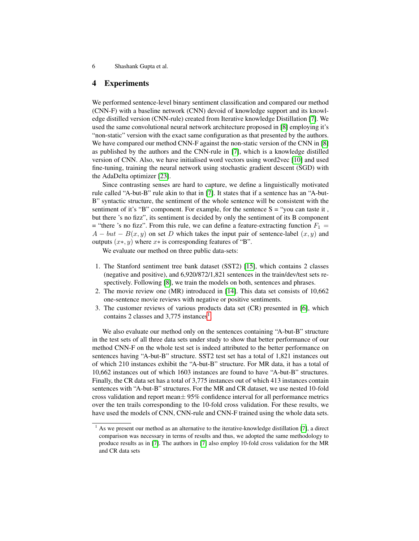## 4 Experiments

We performed sentence-level binary sentiment classification and compared our method (CNN-F) with a baseline network (CNN) devoid of knowledge support and its knowledge distilled version (CNN-rule) created from Iterative knowledge Distillation [\[7\]](#page-8-1). We used the same convolutional neural network architecture proposed in [\[8\]](#page-8-7) employing it's "non-static" version with the exact same configuration as that presented by the authors. We have compared our method CNN-F against the non-static version of the CNN in [\[8\]](#page-8-7) as published by the authors and the CNN-rule in [\[7\]](#page-8-1), which is a knowledge distilled version of CNN. Also, we have initialised word vectors using word2vec [\[10\]](#page-8-8) and used fine-tuning, training the neural network using stochastic gradient descent (SGD) with the AdaDelta optimizer [\[23\]](#page-9-10).

Since contrasting senses are hard to capture, we define a linguistically motivated rule called "A-but-B" rule akin to that in [\[7\]](#page-8-1). It states that if a sentence has an "A-but-B" syntactic structure, the sentiment of the whole sentence will be consistent with the sentiment of it's "B" component. For example, for the sentence  $S =$  "you can taste it, but there 's no fizz", its sentiment is decided by only the sentiment of its B component = "there 's no fizz". From this rule, we can define a feature-extracting function  $F_1$  =  $A - but - B(x, y)$  on set D which takes the input pair of sentence-label  $(x, y)$  and outputs  $(x*, y)$  where  $x*$  is corresponding features of "B".

We evaluate our method on three public data-sets:

- 1. The Stanford sentiment tree bank dataset (SST2) [\[15\]](#page-9-11), which contains 2 classes (negative and positive), and 6,920/872/1,821 sentences in the train/dev/test sets respectively. Following [\[8\]](#page-8-7), we train the models on both, sentences and phrases.
- 2. The movie review one (MR) introduced in [\[14\]](#page-9-12). This data set consists of 10,662 one-sentence movie reviews with negative or positive sentiments.
- 3. The customer reviews of various products data set (CR) presented in [\[6\]](#page-8-9), which contains 2 classes and  $3,775$  instances<sup>[1](#page-5-0)</sup>.

We also evaluate our method only on the sentences containing "A-but-B" structure in the test sets of all three data sets under study to show that better performance of our method CNN-F on the whole test set is indeed attributed to the better performance on sentences having "A-but-B" structure. SST2 test set has a total of 1,821 instances out of which 210 instances exhibit the "A-but-B" structure. For MR data, it has a total of 10,662 instances out of which 1603 instances are found to have "A-but-B" structures. Finally, the CR data set has a total of 3,775 instances out of which 413 instances contain sentences with "A-but-B" structures. For the MR and CR dataset, we use nested 10-fold cross validation and report mean $\pm$  95% confidence interval for all performance metrics over the ten trails corresponding to the 10-fold cross validation. For these results, we have used the models of CNN, CNN-rule and CNN-F trained using the whole data sets.

<span id="page-5-0"></span> $1$  As we present our method as an alternative to the iterative-knowledge distillation [\[7\]](#page-8-1), a direct comparison was necessary in terms of results and thus, we adopted the same methodology to produce results as in [\[7\]](#page-8-1). The authors in [\[7\]](#page-8-1) also employ 10-fold cross validation for the MR and CR data sets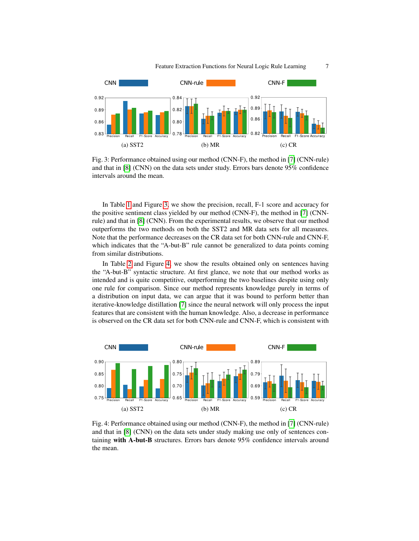<span id="page-6-0"></span>

Fig. 3: Performance obtained using our method (CNN-F), the method in [\[7\]](#page-8-1) (CNN-rule) and that in [\[8\]](#page-8-7) (CNN) on the data sets under study. Errors bars denote 95% confidence intervals around the mean.

In Table [1](#page-7-0) and Figure [3,](#page-6-0) we show the precision, recall, F-1 score and accuracy for the positive sentiment class yielded by our method (CNN-F), the method in [\[7\]](#page-8-1) (CNNrule) and that in [\[8\]](#page-8-7) (CNN). From the experimental results, we observe that our method outperforms the two methods on both the SST2 and MR data sets for all measures. Note that the performance decreases on the CR data set for both CNN-rule and CNN-F, which indicates that the "A-but-B" rule cannot be generalized to data points coming from similar distributions.

In Table [2](#page-7-1) and Figure [4,](#page-6-1) we show the results obtained only on sentences having the "A-but-B" syntactic structure. At first glance, we note that our method works as intended and is quite competitive, outperforming the two baselines despite using only one rule for comparison. Since our method represents knowledge purely in terms of a distribution on input data, we can argue that it was bound to perform better than iterative-knowledge distillation [\[7\]](#page-8-1) since the neural network will only process the input features that are consistent with the human knowledge. Also, a decrease in performance is observed on the CR data set for both CNN-rule and CNN-F, which is consistent with

<span id="page-6-1"></span>

Fig. 4: Performance obtained using our method (CNN-F), the method in [\[7\]](#page-8-1) (CNN-rule) and that in [\[8\]](#page-8-7) (CNN) on the data sets under study making use only of sentences containing with A-but-B structures. Errors bars denote 95% confidence intervals around the mean.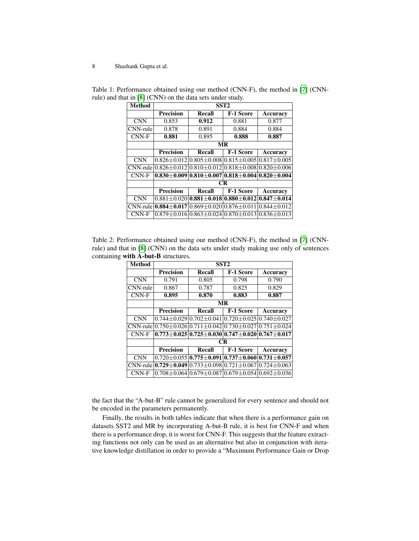| <b>Method</b> | SST <sub>2</sub> |                                                                                        |                  |                   |  |  |
|---------------|------------------|----------------------------------------------------------------------------------------|------------------|-------------------|--|--|
|               | <b>Precision</b> | Recall                                                                                 | <b>F-1 Score</b> | Accuracy          |  |  |
| <b>CNN</b>    | 0.853            | 0.912                                                                                  | 0.881            | 0.877             |  |  |
| CNN-rule      | 0.878            | 0.891                                                                                  | 0.884            | 0.884             |  |  |
| CNN-F         | 0.881            | 0.895                                                                                  | 0.888            | 0.887             |  |  |
|               | MR               |                                                                                        |                  |                   |  |  |
|               | <b>Precision</b> | Recall                                                                                 | <b>F-1 Score</b> | Accuracy          |  |  |
| <b>CNN</b>    |                  | $0.826 \pm 0.01210.805 \pm 0.00810.815 \pm 0.00510.817 \pm 0.005$                      |                  |                   |  |  |
| CNN-rule      |                  | $0.826 \pm 0.012 \times 0.810 \pm 0.012 \times 0.818 \pm 0.008 \times 0.820 \pm 0.006$ |                  |                   |  |  |
| $CNN-F$       |                  | $0.830\pm0.009$ $0.810\pm0.007$ $0.818\pm0.004$ $0.820\pm0.004$                        |                  |                   |  |  |
|               | <b>CR</b>        |                                                                                        |                  |                   |  |  |
|               | <b>Precision</b> | Recall                                                                                 | <b>F-1 Score</b> | Accuracy          |  |  |
| <b>CNN</b>    |                  | $0.881 \pm 0.020$   0.881 $\pm$ 0.018   0.880 $\pm$ 0.012   0.847 $\pm$ 0.014          |                  |                   |  |  |
| $CNN$ -rule   |                  | $0.884 \pm 0.01710.869 \pm 0.02010.876 \pm 0.011$                                      |                  | $0.844 \pm 0.012$ |  |  |
| CNN-F         |                  | $0.879 \pm 0.01610.863 \pm 0.02410.870 \pm 0.01310.836 \pm 0.013$                      |                  |                   |  |  |

<span id="page-7-0"></span>Table 1: Performance obtained using our method (CNN-F), the method in [\[7\]](#page-8-1) (CNNrule) and that in [\[8\]](#page-8-7) (CNN) on the data sets under study.

<span id="page-7-1"></span>

| Table 2: Performance obtained using our method (CNN-F), the method in [7] (CNN-       |
|---------------------------------------------------------------------------------------|
| rule) and that in [8] (CNN) on the data sets under study making use only of sentences |
| containing with A-but-B structures.                                                   |

| <b>Method</b> | SST <sub>2</sub> |                                       |                                                                                        |                                       |  |  |
|---------------|------------------|---------------------------------------|----------------------------------------------------------------------------------------|---------------------------------------|--|--|
|               | <b>Precision</b> | Recall                                | <b>F-1 Score</b>                                                                       | Accuracy                              |  |  |
| <b>CNN</b>    | 0.791            | 0.805                                 | 0.798                                                                                  | 0.790                                 |  |  |
| CNN-rule      | 0.867            | 0.787                                 | 0.825                                                                                  | 0.829                                 |  |  |
| CNN-F         | 0.895            | 0.870                                 | 0.883                                                                                  | 0.887                                 |  |  |
|               | MR               |                                       |                                                                                        |                                       |  |  |
|               | <b>Precision</b> | Recall                                | <b>F-1 Score</b>                                                                       | Accuracy                              |  |  |
| <b>CNN</b>    | $0.744 + 0.029$  | $0.702 \pm 0.041$                     | $0.720 \pm 0.025$                                                                      | $0.740 \pm 0.027$                     |  |  |
| CNN-rule      |                  |                                       | $0.750 \pm 0.026$   0.711 $\pm 0.042$   0.730 $\pm 0.027$                              | $0.751 \pm 0.024$                     |  |  |
| CNN-F         |                  |                                       | $0.773 \pm 0.025 \, 0.725 \pm 0.030 \, 0.747 \pm 0.020 \, 0.767 \pm 0.017$             |                                       |  |  |
|               | <b>CR</b>        |                                       |                                                                                        |                                       |  |  |
|               | <b>Precision</b> | Recall                                | <b>F-1 Score</b>                                                                       | Accuracy                              |  |  |
| <b>CNN</b>    |                  | $0.720 \pm 0.055$   0.775 $\pm$ 0.091 |                                                                                        | $0.737 \pm 0.060$   $0.731 \pm 0.057$ |  |  |
| CNN-rule      |                  |                                       | $0.729 \pm 0.049 \times 0.733 \pm 0.098 \times 0.721 \pm 0.067 \times 0.724 \pm 0.063$ |                                       |  |  |
| $CNN-F$       |                  |                                       | $0.708 \pm 0.064 \times 0.679 \pm 0.087 \times 0.679 \pm 0.054 \times 0.692 \pm 0.036$ |                                       |  |  |

the fact that the "A-but-B" rule cannot be generalized for every sentence and should not be encoded in the parameters permanently.

Finally, the results in both tables indicate that when there is a performance gain on datasets SST2 and MR by incorporating A-but-B rule, it is best for CNN-F and when there is a performance drop, it is worst for CNN-F. This suggests that the feature extracting functions not only can be used as an alternative but also in conjunction with iterative knowledge distillation in order to provide a "Maximum Performance Gain or Drop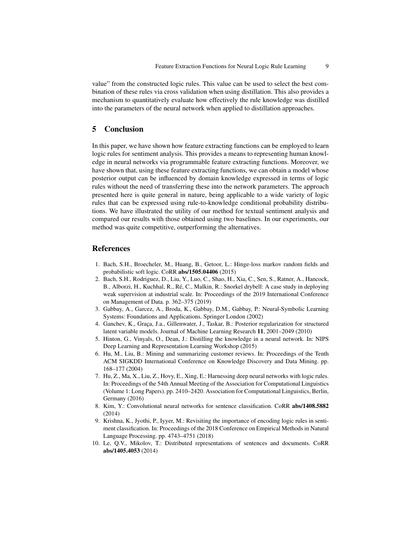value" from the constructed logic rules. This value can be used to select the best combination of these rules via cross validation when using distillation. This also provides a mechanism to quantitatively evaluate how effectively the rule knowledge was distilled into the parameters of the neural network when applied to distillation approaches.

## 5 Conclusion

In this paper, we have shown how feature extracting functions can be employed to learn logic rules for sentiment analysis. This provides a means to representing human knowledge in neural networks via programmable feature extracting functions. Moreover, we have shown that, using these feature extracting functions, we can obtain a model whose posterior output can be influenced by domain knowledge expressed in terms of logic rules without the need of transferring these into the network parameters. The approach presented here is quite general in nature, being applicable to a wide variety of logic rules that can be expressed using rule-to-knowledge conditional probability distributions. We have illustrated the utility of our method for textual sentiment analysis and compared our results with those obtained using two baselines. In our experiments, our method was quite competitive, outperforming the alternatives.

## References

- <span id="page-8-2"></span>1. Bach, S.H., Broecheler, M., Huang, B., Getoor, L.: Hinge-loss markov random fields and probabilistic soft logic. CoRR abs/1505.04406 (2015)
- <span id="page-8-4"></span>2. Bach, S.H., Rodriguez, D., Liu, Y., Luo, C., Shao, H., Xia, C., Sen, S., Ratner, A., Hancock, B., Alborzi, H., Kuchhal, R., Re, C., Malkin, R.: Snorkel drybell: A case study in deploying ´ weak supervision at industrial scale. In: Proceedings of the 2019 International Conference on Management of Data. p. 362–375 (2019)
- <span id="page-8-0"></span>3. Gabbay, A., Garcez, A., Broda, K., Gabbay, D.M., Gabbay, P.: Neural-Symbolic Learning Systems: Foundations and Applications. Springer London (2002)
- <span id="page-8-5"></span>4. Ganchev, K., Graça, J.a., Gillenwater, J., Taskar, B.: Posterior regularization for structured latent variable models. Journal of Machine Learning Research 11, 2001–2049 (2010)
- <span id="page-8-3"></span>5. Hinton, G., Vinyals, O., Dean, J.: Distilling the knowledge in a neural network. In: NIPS Deep Learning and Representation Learning Workshop (2015)
- <span id="page-8-9"></span>6. Hu, M., Liu, B.: Mining and summarizing customer reviews. In: Proceedings of the Tenth ACM SIGKDD International Conference on Knowledge Discovery and Data Mining. pp. 168–177 (2004)
- <span id="page-8-1"></span>7. Hu, Z., Ma, X., Liu, Z., Hovy, E., Xing, E.: Harnessing deep neural networks with logic rules. In: Proceedings of the 54th Annual Meeting of the Association for Computational Linguistics (Volume 1: Long Papers). pp. 2410–2420. Association for Computational Linguistics, Berlin, Germany (2016)
- <span id="page-8-7"></span>8. Kim, Y.: Convolutional neural networks for sentence classification. CoRR abs/1408.5882 (2014)
- <span id="page-8-6"></span>9. Krishna, K., Jyothi, P., Iyyer, M.: Revisiting the importance of encoding logic rules in sentiment classification. In: Proceedings of the 2018 Conference on Empirical Methods in Natural Language Processing. pp. 4743–4751 (2018)
- <span id="page-8-8"></span>10. Le, Q.V., Mikolov, T.: Distributed representations of sentences and documents. CoRR abs/1405.4053 (2014)